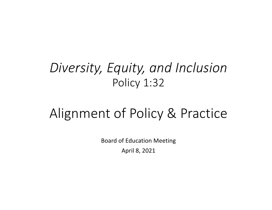# *Diversity, Equity, and Inclusion* Policy 1:32

# Alignment of Policy & Practice

Board of Education Meeting April 8, 2021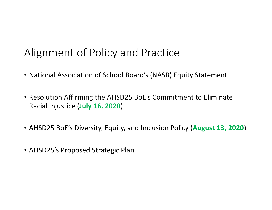## Alignment of Policy and Practice

- National Association of School Board's (NASB) Equity Statement
- Resolution Affirming the AHSD25 BoE's Commitment to Eliminate Racial Injustice (**July 16, 2020**)
- AHSD25 BoE's Diversity, Equity, and Inclusion Policy (**August 13, 2020**)
- AHSD25's Proposed Strategic Plan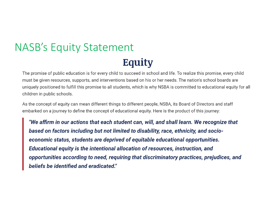## NASB's Equity StatementEquity

The promise of public education is for every child to succeed in school and life. To realize this promise, every child must be given resources, supports, and interventions based on his or her needs. The nation's school boards are uniquely positioned to fulfill this promise to all students, which is why NSBA is committed to educational equity for all children in public schools.

As the concept of equity can mean different things to different people, NSBA, its Board of Directors and staff embarked on a journey to define the concept of educational equity. Here is the product of this journey:

"We affirm in our actions that each student can, will, and shall learn. We recognize that based on factors including but not limited to disability, race, ethnicity, and socioeconomic status, students are deprived of equitable educational opportunities. Educational equity is the intentional allocation of resources, instruction, and opportunities according to need, requiring that discriminatory practices, prejudices, and beliefs be identified and eradicated."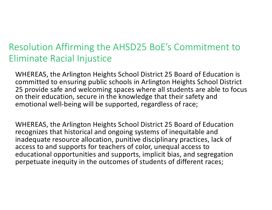### Resolution Affirming the AHSD25 BoE's Commitment to Eliminate Racial Injustice

WHEREAS, the Arlington Heights School District 25 Board of Education is committed to ensuring public schools in Arlington Heights School District 25 provide safe and welcoming spaces where all students are able to focus on their education, secure in the knowledge that their safety and emotional well-being will be supported, regardless of race;

WHEREAS, the Arlington Heights School District 25 Board of Education recognizes that historical and ongoing systems of inequitable and inadequate resource allocation, punitive disciplinary practices, lack of access to and supports for teachers of color, unequal access to educational opportunities and supports, implicit bias, and segregation perpetuate inequity in the outcomes of students of different races;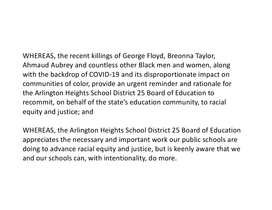WHEREAS, the recent killings of George Floyd, Breonna Taylor, Ahmaud Aubrey and countless other Black men and women, along with the backdrop of COVID-19 and its disproportionate impact on communities of color, provide an urgent reminder and rationale for the Arlington Heights School District 25 Board of Education to recommit, on behalf of the state's education community, to racial equity and justice; and

WHEREAS, the Arlington Heights School District 25 Board of Education appreciates the necessary and important work our public schools are doing to advance racial equity and justice, but is keenly aware that we and our schools can, with intentionality, do more.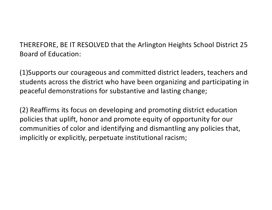THEREFORE, BE IT RESOLVED that the Arlington Heights School District 25 Board of Education:

(1)Supports our courageous and committed district leaders, teachers and students across the district who have been organizing and participating in peaceful demonstrations for substantive and lasting change;

(2) Reaffirms its focus on developing and promoting district education policies that uplift, honor and promote equity of opportunity for our communities of color and identifying and dismantling any policies that, implicitly or explicitly, perpetuate institutional racism;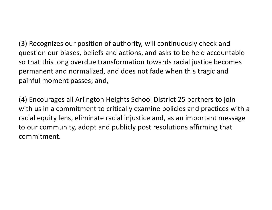(3) Recognizes our position of authority, will continuously check and question our biases, beliefs and actions, and asks to be held accountable so that this long overdue transformation towards racial justice becomes permanent and normalized, and does not fade when this tragic and painful moment passes; and,

(4) Encourages all Arlington Heights School District 25 partners to join with us in a commitment to critically examine policies and practices with a racial equity lens, eliminate racial injustice and, as an important message to our community, adopt and publicly post resolutions affirming that commitment.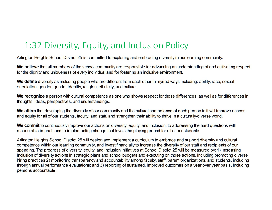### 1:32 Diversity, Equity, and Inclusion Policy

Arlington Heights School District 25 is committed to exploring and embracing diversity in our learning community.

We believe that all members of the school community are responsible for advancing an understanding of and cultivating respect for the dignity and uniqueness of every individual and for fostering an inclusive environment.

We define diversity as including people who are different from each other in myriad ways including: ability, race, sexual orientation, gender, gender identity, religion, ethnicity, and culture.

We recognize a person with cultural competence as one who shows respect for those differences, as well as for differences in thoughts, ideas, perspectives, and understandings.

We affirm that developing the diversity of our community and the cultural competence of each person in it will improve access and equity for all of our students, faculty, and staff, and strengthen their ability to thrive in a culturally-diverse world.

We commit to continuously improve our actions on diversity, equity, and inclusion, to addressing the hard questions with measurable impact, and to implementing change that levels the playing ground for all of our students.

Arlington Heights School District 25 will design and implement a curriculum to embrace and support diversity and cultural competence within our learning community, and invest financially to increase the diversity of our staff and recipients of our spending. The progress of diversity, equity, and inclusion initiatives at School District 25 will be measured by: 1) increasing inclusion of diversity actions in strategic plans and school budgets and executing on those actions, including promoting diverse hiring practices 2) monitoring transparency and accountability among faculty, staff, parent organizations, and students, including through annual performance evaluations; and 3) reporting of sustained, improved outcomes on a year over year basis, including persons accountable.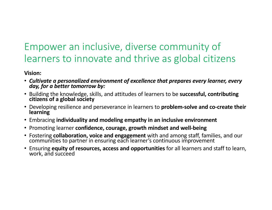### Empower an inclusive, diverse community of learners to innovate and thrive as global citizens

### **Vision:**

- *Cultivate a personalized environment of excellence that prepares every learner, every day, for a better tomorrow by:*
- Building the knowledge, skills, and attitudes of learners to be **successful, contributing citizens of a global society**
- Developing resilience and perseverance in learners to **problem-solve and co-create their learning**
- Embracing **individuality and modeling empathy in an inclusive environment**
- Promoting learner **confidence, courage, growth mindset and well-being**
- Fostering **collaboration, voice and engagement** with and among staff, families, and our communities to partner in ensuring each learner's continuous improvement
- Ensuring **equity of resources, access and opportunities** for all learners and staff to learn, work, and succeed